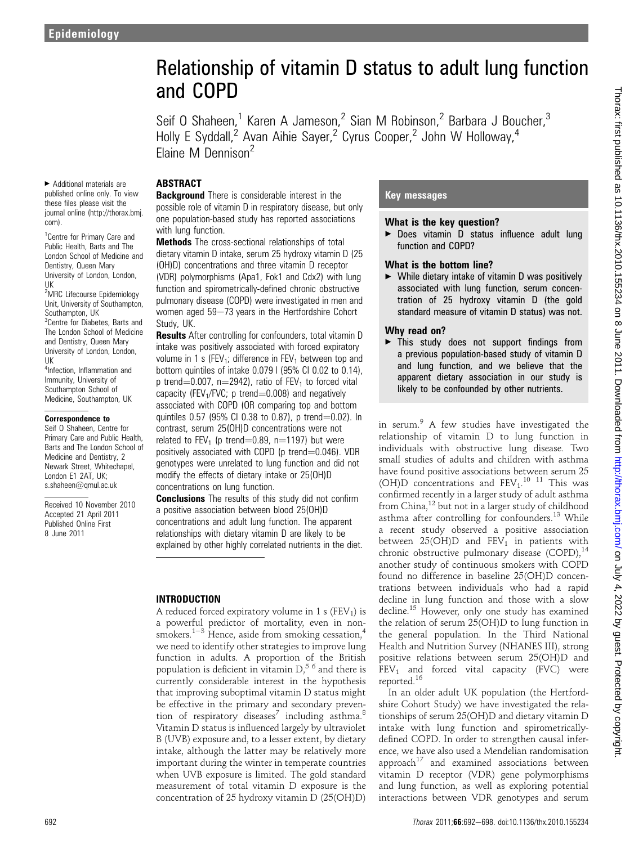# Relationship of vitamin D status to adult lung function and COPD

Seif O Shaheen,<sup>1</sup> Karen A Jameson,<sup>2</sup> Sian M Robinson,<sup>2</sup> Barbara J Boucher,<sup>3</sup> Holly E Syddall,<sup>2</sup> Avan Aihie Sayer,<sup>2</sup> Cyrus Cooper,<sup>2</sup> John W Holloway,<sup>4</sup> Elaine M Dennison<sup>2</sup>

#### **ABSTRACT**

< Additional materials are published online only. To view these files please visit the journal online (http://thorax.bmj. com).

<sup>1</sup> Centre for Primary Care and Public Health, Barts and The London School of Medicine and Dentistry, Queen Mary University of London, London, UK

<sup>2</sup>MRC Lifecourse Epidemiology Unit, University of Southampton, Southampton, UK <sup>3</sup>Centre for Diabetes, Barts and The London School of Medicine and Dentistry, Queen Mary

University of London, London, UK <sup>4</sup>Infection, Inflammation and Immunity, University of

Southampton School of Medicine, Southampton, UK

#### Correspondence to

Seif O Shaheen, Centre for Primary Care and Public Health, Barts and The London School of Medicine and Dentistry, 2 Newark Street, Whitechapel, London E1 2AT, UK; s.shaheen@qmul.ac.uk

Received 10 November 2010 Accepted 21 April 2011 Published Online First 8 June 2011

**Background** There is considerable interest in the possible role of vitamin D in respiratory disease, but only one population-based study has reported associations with lung function.

**Methods** The cross-sectional relationships of total dietary vitamin D intake, serum 25 hydroxy vitamin D (25 (OH)D) concentrations and three vitamin D receptor (VDR) polymorphisms (Apa1, Fok1 and Cdx2) with lung function and spirometrically-defined chronic obstructive pulmonary disease (COPD) were investigated in men and women aged  $59-73$  years in the Hertfordshire Cohort Study, UK.

**Results** After controlling for confounders, total vitamin D intake was positively associated with forced expiratory volume in 1 s (FEV<sub>1</sub>; difference in FEV<sub>1</sub> between top and bottom quintiles of intake 0.079 l (95% CI 0.02 to 0.14), p trend=0.007, n=2942), ratio of  $FEV<sub>1</sub>$  to forced vital capacity (FEV<sub>1</sub>/FVC; p trend=0.008) and negatively associated with COPD (OR comparing top and bottom quintiles  $0.57$  (95% CI 0.38 to 0.87), p trend=0.02). In contrast, serum 25(OH)D concentrations were not related to FEV<sub>1</sub> (p trend=0.89, n=1197) but were positively associated with COPD (p trend $=$ 0.046). VDR genotypes were unrelated to lung function and did not modify the effects of dietary intake or 25(OH)D concentrations on lung function.

**Conclusions** The results of this study did not confirm a positive association between blood 25(OH)D concentrations and adult lung function. The apparent relationships with dietary vitamin D are likely to be explained by other highly correlated nutrients in the diet.

## INTRODUCTION

A reduced forced expiratory volume in 1 s ( $FEV<sub>1</sub>$ ) is a powerful predictor of mortality, even in nonsmokers.<sup>1-3</sup> Hence, aside from smoking cessation,<sup>4</sup> we need to identify other strategies to improve lung function in adults. A proportion of the British population is deficient in vitamin  $D<sup>56</sup>$  and there is currently considerable interest in the hypothesis that improving suboptimal vitamin D status might be effective in the primary and secondary prevention of respiratory diseases<sup>7</sup> including asthma.<sup>8</sup> Vitamin D status is influenced largely by ultraviolet B (UVB) exposure and, to a lesser extent, by dietary intake, although the latter may be relatively more important during the winter in temperate countries when UVB exposure is limited. The gold standard measurement of total vitamin D exposure is the concentration of 25 hydroxy vitamin D (25(OH)D)

## Key messages

#### What is the key question?

▶ Does vitamin D status influence adult lung function and COPD?

#### What is the bottom line?

 $\blacktriangleright$  While dietary intake of vitamin D was positively associated with lung function, serum concentration of 25 hydroxy vitamin D (the gold standard measure of vitamin D status) was not.

#### Why read on?

 $\blacktriangleright$  This study does not support findings from a previous population-based study of vitamin D and lung function, and we believe that the apparent dietary association in our study is likely to be confounded by other nutrients.

in serum.<sup>9</sup> A few studies have investigated the relationship of vitamin D to lung function in individuals with obstructive lung disease. Two small studies of adults and children with asthma have found positive associations between serum 25 (OH)D concentrations and  $FEV<sub>1</sub>$ .<sup>10</sup> <sup>11</sup> This was confirmed recently in a larger study of adult asthma from China,<sup>12</sup> but not in a larger study of childhood asthma after controlling for confounders.<sup>13</sup> While a recent study observed a positive association between  $25(OH)D$  and  $FEV<sub>1</sub>$  in patients with chronic obstructive pulmonary disease (COPD),<sup>14</sup> another study of continuous smokers with COPD found no difference in baseline 25(OH)D concentrations between individuals who had a rapid decline in lung function and those with a slow decline.<sup>15</sup> However, only one study has examined the relation of serum 25(OH)D to lung function in the general population. In the Third National Health and Nutrition Survey (NHANES III), strong positive relations between serum 25(OH)D and  $FEV<sub>1</sub>$  and forced vital capacity (FVC) were reported.16

In an older adult UK population (the Hertfordshire Cohort Study) we have investigated the relationships of serum 25(OH)D and dietary vitamin D intake with lung function and spirometricallydefined COPD. In order to strengthen causal inference, we have also used a Mendelian randomisation approach<sup>17</sup> and examined associations between vitamin D receptor (VDR) gene polymorphisms and lung function, as well as exploring potential interactions between VDR genotypes and serum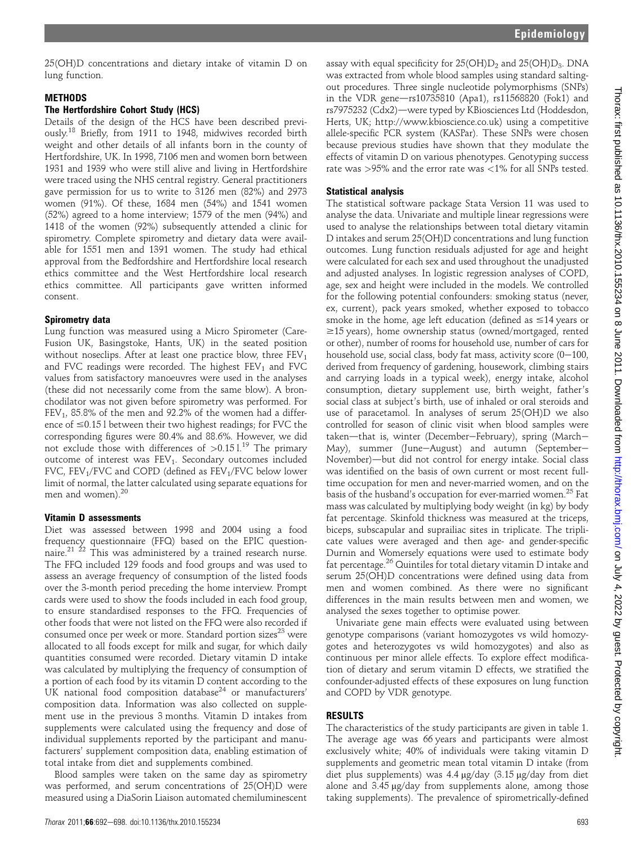25(OH)D concentrations and dietary intake of vitamin D on lung function.

#### **METHODS**

#### The Hertfordshire Cohort Study (HCS)

Details of the design of the HCS have been described previously.18 Briefly, from 1911 to 1948, midwives recorded birth weight and other details of all infants born in the county of Hertfordshire, UK. In 1998, 7106 men and women born between 1931 and 1939 who were still alive and living in Hertfordshire were traced using the NHS central registry. General practitioners gave permission for us to write to 3126 men (82%) and 2973 women (91%). Of these, 1684 men (54%) and 1541 women (52%) agreed to a home interview; 1579 of the men (94%) and 1418 of the women (92%) subsequently attended a clinic for spirometry. Complete spirometry and dietary data were available for 1551 men and 1391 women. The study had ethical approval from the Bedfordshire and Hertfordshire local research ethics committee and the West Hertfordshire local research ethics committee. All participants gave written informed consent.

#### Spirometry data

Lung function was measured using a Micro Spirometer (Care-Fusion UK, Basingstoke, Hants, UK) in the seated position without noseclips. After at least one practice blow, three  $FEV<sub>1</sub>$ and FVC readings were recorded. The highest  $FEV<sub>1</sub>$  and FVC values from satisfactory manoeuvres were used in the analyses (these did not necessarily come from the same blow). A bronchodilator was not given before spirometry was performed. For  $FEV<sub>1</sub>$ , 85.8% of the men and 92.2% of the women had a difference of  $\leq$ 0.15 l between their two highest readings; for FVC the corresponding figures were 80.4% and 88.6%. However, we did not exclude those with differences of  $>0.151^{19}$  The primary outcome of interest was FEV<sub>1</sub>. Secondary outcomes included FVC, FEV<sub>1</sub>/FVC and COPD (defined as FEV<sub>1</sub>/FVC below lower limit of normal, the latter calculated using separate equations for men and women).<sup>20</sup>

#### Vitamin D assessments

Diet was assessed between 1998 and 2004 using a food frequency questionnaire (FFQ) based on the EPIC questionnaire.<sup>21</sup> <sup>22</sup> This was administered by a trained research nurse. The FFQ included 129 foods and food groups and was used to assess an average frequency of consumption of the listed foods over the 3-month period preceding the home interview. Prompt cards were used to show the foods included in each food group, to ensure standardised responses to the FFQ. Frequencies of other foods that were not listed on the FFQ were also recorded if consumed once per week or more. Standard portion sizes<sup>23</sup> were allocated to all foods except for milk and sugar, for which daily quantities consumed were recorded. Dietary vitamin D intake was calculated by multiplying the frequency of consumption of a portion of each food by its vitamin D content according to the UK national food composition database $24$  or manufacturers' composition data. Information was also collected on supplement use in the previous 3 months. Vitamin D intakes from supplements were calculated using the frequency and dose of individual supplements reported by the participant and manufacturers' supplement composition data, enabling estimation of total intake from diet and supplements combined.

Blood samples were taken on the same day as spirometry was performed, and serum concentrations of 25(OH)D were measured using a DiaSorin Liaison automated chemiluminescent

assay with equal specificity for  $25(OH)D_2$  and  $25(OH)D_3$ . DNA was extracted from whole blood samples using standard saltingout procedures. Three single nucleotide polymorphisms (SNPs) in the VDR gene $-$ rs10735810 (Apa1), rs11568820 (Fok1) and rs7975232 (Cdx2)—were typed by KBiosciences Ltd (Hoddesdon, Herts, UK; http://www.kbioscience.co.uk) using a competitive allele-specific PCR system (KASPar). These SNPs were chosen because previous studies have shown that they modulate the effects of vitamin D on various phenotypes. Genotyping success rate was >95% and the error rate was <1% for all SNPs tested.

#### Statistical analysis

The statistical software package Stata Version 11 was used to analyse the data. Univariate and multiple linear regressions were used to analyse the relationships between total dietary vitamin D intakes and serum 25(OH)D concentrations and lung function outcomes. Lung function residuals adjusted for age and height were calculated for each sex and used throughout the unadjusted and adjusted analyses. In logistic regression analyses of COPD, age, sex and height were included in the models. We controlled for the following potential confounders: smoking status (never, ex, current), pack years smoked, whether exposed to tobacco smoke in the home, age left education (defined as  $\leq$ 14 years or  $\geq$ 15 years), home ownership status (owned/mortgaged, rented or other), number of rooms for household use, number of cars for household use, social class, body fat mass, activity score  $(0-100, 0)$ derived from frequency of gardening, housework, climbing stairs and carrying loads in a typical week), energy intake, alcohol consumption, dietary supplement use, birth weight, father's social class at subject's birth, use of inhaled or oral steroids and use of paracetamol. In analyses of serum 25(OH)D we also controlled for season of clinic visit when blood samples were taken-that is, winter (December-February), spring (March-May), summer (June-August) and autumn (September-November)—but did not control for energy intake. Social class was identified on the basis of own current or most recent fulltime occupation for men and never-married women, and on the basis of the husband's occupation for ever-married women.<sup>25</sup> Fat mass was calculated by multiplying body weight (in kg) by body fat percentage. Skinfold thickness was measured at the triceps, biceps, subscapular and suprailiac sites in triplicate. The triplicate values were averaged and then age- and gender-specific Durnin and Womersely equations were used to estimate body fat percentage.<sup>26</sup> Quintiles for total dietary vitamin D intake and serum 25(OH)D concentrations were defined using data from men and women combined. As there were no significant differences in the main results between men and women, we analysed the sexes together to optimise power.

Univariate gene main effects were evaluated using between genotype comparisons (variant homozygotes vs wild homozygotes and heterozygotes vs wild homozygotes) and also as continuous per minor allele effects. To explore effect modification of dietary and serum vitamin D effects, we stratified the confounder-adjusted effects of these exposures on lung function and COPD by VDR genotype.

#### RESULTS

The characteristics of the study participants are given in table 1. The average age was 66 years and participants were almost exclusively white; 40% of individuals were taking vitamin D supplements and geometric mean total vitamin D intake (from diet plus supplements) was  $4.4 \mu$ g/day  $(3.15 \mu$ g/day from diet alone and  $3.45 \mu g/day$  from supplements alone, among those taking supplements). The prevalence of spirometrically-defined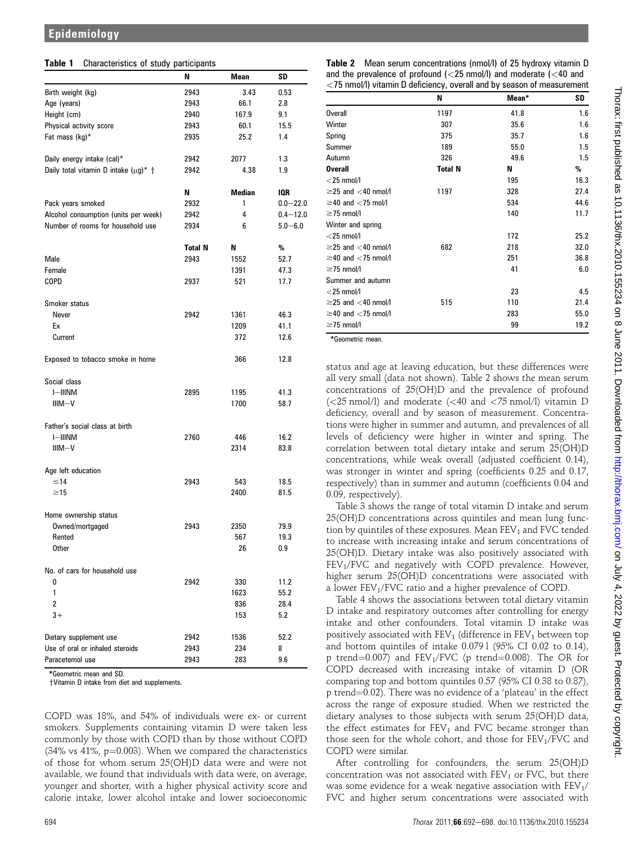| <b>Table 1</b> Characteristics of study participants |  |  |  |
|------------------------------------------------------|--|--|--|
|------------------------------------------------------|--|--|--|

| .                                          | <br>N          | Mean   | SD           |
|--------------------------------------------|----------------|--------|--------------|
| Birth weight (kg)                          | 2943           | 3.43   | 0.53         |
| Age (years)                                | 2943           | 66.1   | 2.8          |
| Height (cm)                                | 2940           | 167.9  | 9.1          |
| Physical activity score                    | 2943           | 60.1   | 15.5         |
| Fat mass (kg)*                             | 2935           | 25.2   | 1.4          |
| Daily energy intake (cal)*                 | 2942           | 2077   | 1.3          |
| Daily total vitamin D intake $(\mu g)^*$ + | 2942           | 4.38   | 1.9          |
|                                            | N              | Median | IQR          |
| Pack years smoked                          | 2932           | 1      | $0.0 - 22.0$ |
| Alcohol consumption (units per week)       | 2942           | 4      | $0.4 - 12.0$ |
| Number of rooms for household use          | 2934           | 6      | $5.0 - 6.0$  |
|                                            | <b>Total N</b> | N      | %            |
| Male                                       | 2943           | 1552   | 52.7         |
| Female                                     |                | 1391   | 47.3         |
| COPD                                       | 2937           | 521    | 17.7         |
| Smoker status                              |                |        |              |
| Never                                      | 2942           | 1361   | 46.3         |
| Ex                                         |                | 1209   | 41.1         |
| Current                                    |                | 372    | 12.6         |
| Exposed to tobacco smoke in home           |                | 366    | 12.8         |
| Social class                               |                |        |              |
| I-IIINM                                    | 2895           | 1195   | 41.3         |
| $IIIM-V$                                   |                | 1700   | 58.7         |
| Father's social class at birth             |                |        |              |
| <b>I-IIINM</b>                             | 2760           | 446    | 16.2         |
| $IIIM-V$                                   |                | 2314   | 83.8         |
| Age left education                         |                |        |              |
| $\leq 14$                                  | 2943           | 543    | 18.5         |
| $\geq$ 15                                  |                | 2400   | 81.5         |
| Home ownership status                      |                |        |              |
| Owned/mortgaged                            | 2943           | 2350   | 79.9         |
| Rented                                     |                | 567    | 19.3         |
| Other                                      |                | 26     | 0.9          |
| No. of cars for household use              |                |        |              |
| 0                                          | 2942           | 330    | 11.2         |
| 1                                          |                | 1623   | 55.2         |
| 2                                          |                | 836    | 28.4         |
| $3+$                                       |                | 153    | 5.2          |
| Dietary supplement use                     | 2942           | 1536   | 52.2         |
| Use of oral or inhaled steroids            | 2943           | 234    | 8            |
| Paracetemol use                            | 2943           | 283    | 9.6          |

\*Geometric mean and SD.

†Vitamin D intake from diet and supplements.

COPD was 18%, and 54% of individuals were ex- or current smokers. Supplements containing vitamin D were taken less commonly by those with COPD than by those without COPD  $(34\% \text{ vs } 41\%, \text{ p} = 0.003)$ . When we compared the characteristics of those for whom serum 25(OH)D data were and were not available, we found that individuals with data were, on average, younger and shorter, with a higher physical activity score and calorie intake, lower alcohol intake and lower socioeconomic

| <b>Table 2</b> Mean serum concentrations (nmol/l) of 25 hydroxy vitamin D                                                                       |  |  |
|-------------------------------------------------------------------------------------------------------------------------------------------------|--|--|
| and the prevalence of profound $\left\langle \langle 25 \rangle 5 \rangle$ and moderate $\left\langle \langle 40 \rangle 40 \rangle 40 \rangle$ |  |  |
| $\langle 75 \text{ nmol/l} \rangle$ vitamin D deficiency, overall and by season of measurement                                                  |  |  |

|                               | N              | Mean* | SD   |
|-------------------------------|----------------|-------|------|
| Overall                       | 1197           | 41.8  | 1.6  |
| Winter                        | 307            | 35.6  | 1.6  |
| Spring                        | 375            | 35.7  | 1.6  |
| Summer                        | 189            | 55.0  | 1.5  |
| Autumn                        | 326            | 49.6  | 1.5  |
| <b>Overall</b>                | <b>Total N</b> | N     | %    |
| $<$ 25 nmol/l                 |                | 195   | 16.3 |
| $\geq$ 25 and $<$ 40 nmol/l   | 1197           | 328   | 27.4 |
| $\geq$ 40 and $\lt$ 75 mol/l  |                | 534   | 44.6 |
| $\geq$ 75 nmol/l              |                | 140   | 11.7 |
| Winter and spring             |                |       |      |
| $<$ 25 nmol/l                 |                | 172   | 25.2 |
| $\geq$ 25 and $<$ 40 nmol/l   | 682            | 218   | 32.0 |
| $\geq$ 40 and $<$ 75 nmol/l   |                | 251   | 36.8 |
| $\geq$ 75 nmol/l              |                | 41    | 6.0  |
| Summer and autumn             |                |       |      |
| $<$ 25 nmol/l                 |                | 23    | 4.5  |
| $\geq$ 25 and $<$ 40 nmol/l   | 515            | 110   | 21.4 |
| $\geq$ 40 and $\lt$ 75 nmol/l |                | 283   | 55.0 |
| $\geq$ 75 nmol/l              |                | 99    | 19.2 |

\*Geometric mean.

status and age at leaving education, but these differences were all very small (data not shown). Table 2 shows the mean serum concentrations of 25(OH)D and the prevalence of profound  $\langle$  <25 nmol/l) and moderate  $\langle$  <40 and <75 nmol/l) vitamin D deficiency, overall and by season of measurement. Concentrations were higher in summer and autumn, and prevalences of all levels of deficiency were higher in winter and spring. The correlation between total dietary intake and serum 25(OH)D concentrations, while weak overall (adjusted coefficient 0.14), was stronger in winter and spring (coefficients 0.25 and 0.17, respectively) than in summer and autumn (coefficients 0.04 and 0.09, respectively).

Table 3 shows the range of total vitamin D intake and serum 25(OH)D concentrations across quintiles and mean lung function by quintiles of these exposures. Mean  $FEV<sub>1</sub>$  and  $FVC$  tended to increase with increasing intake and serum concentrations of 25(OH)D. Dietary intake was also positively associated with FEV<sub>1</sub>/FVC and negatively with COPD prevalence. However, higher serum 25(OH)D concentrations were associated with a lower  $FEV<sub>1</sub>/FVC$  ratio and a higher prevalence of COPD.

Table 4 shows the associations between total dietary vitamin D intake and respiratory outcomes after controlling for energy intake and other confounders. Total vitamin D intake was positively associated with  $FEV<sub>1</sub>$  (difference in  $FEV<sub>1</sub>$  between top and bottom quintiles of intake 0.079 l (95% CI 0.02 to 0.14), p trend=0.007) and  $FEV_1/FVC$  (p trend=0.008). The OR for COPD decreased with increasing intake of vitamin D (OR comparing top and bottom quintiles 0.57 (95% CI 0.38 to 0.87), p trend=0.02). There was no evidence of a 'plateau' in the effect across the range of exposure studied. When we restricted the dietary analyses to those subjects with serum 25(OH)D data, the effect estimates for  $FEV_1$  and FVC became stronger than those seen for the whole cohort, and those for  $FEV<sub>1</sub>/FVC$  and COPD were similar.

After controlling for confounders, the serum 25(OH)D concentration was not associated with  $FEV<sub>1</sub>$  or FVC, but there was some evidence for a weak negative association with  $FEV<sub>1</sub>/$ FVC and higher serum concentrations were associated with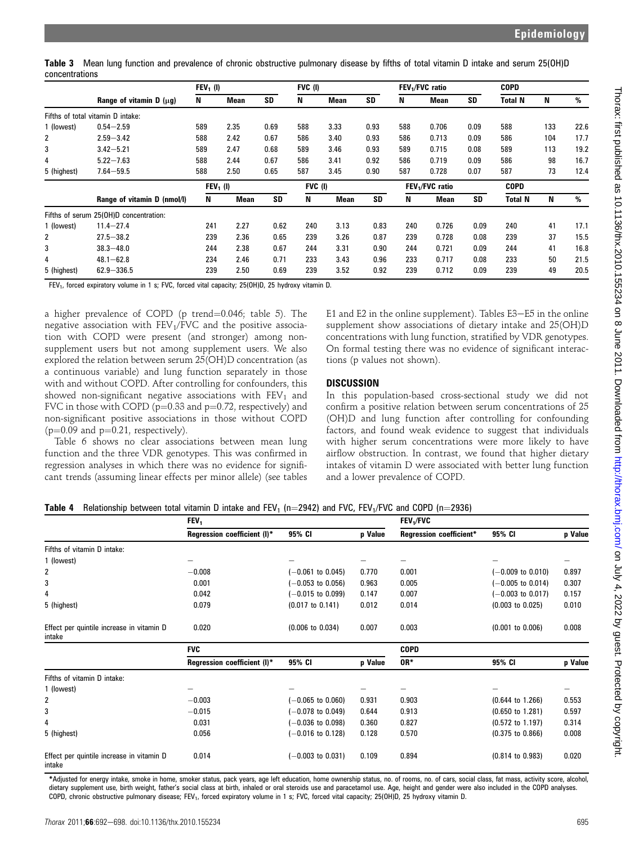Table 3 Mean lung function and prevalence of chronic obstructive pulmonary disease by fifths of total vitamin D intake and serum 25(OH)D concentrations

|                 |                                        | $FEV1$ (I)  |      |           | FVC (I) |             |           |     | FEV <sub>1</sub> /FVC ratio |           | <b>COPD</b>    |     |      |
|-----------------|----------------------------------------|-------------|------|-----------|---------|-------------|-----------|-----|-----------------------------|-----------|----------------|-----|------|
|                 | Range of vitamin $D(\mu q)$            | N           | Mean | <b>SD</b> | N       | <b>Mean</b> | <b>SD</b> | N   | <b>Mean</b>                 | SD        | Total N        | N   | %    |
| Fifths of total | vitamin D intake:                      |             |      |           |         |             |           |     |                             |           |                |     |      |
| 1 (lowest)      | $0.54 - 2.59$                          | 589         | 2.35 | 0.69      | 588     | 3.33        | 0.93      | 588 | 0.706                       | 0.09      | 588            | 133 | 22.6 |
| 2               | $2.59 - 3.42$                          | 588         | 2.42 | 0.67      | 586     | 3.40        | 0.93      | 586 | 0.713                       | 0.09      | 586            | 104 | 17.7 |
| 3               | $3.42 - 5.21$                          | 589         | 2.47 | 0.68      | 589     | 3.46        | 0.93      | 589 | 0.715                       | 0.08      | 589            | 113 | 19.2 |
| 4               | $5.22 - 7.63$                          | 588         | 2.44 | 0.67      | 586     | 3.41        | 0.92      | 586 | 0.719                       | 0.09      | 586            | 98  | 16.7 |
| 5 (highest)     | $7.64 - 59.5$                          | 588         | 2.50 | 0.65      | 587     | 3.45        | 0.90      | 587 | 0.728                       | 0.07      | 587            | 73  | 12.4 |
|                 |                                        | $FEV_1$ (I) |      |           | FVC (I) |             |           |     | FEV <sub>1</sub> /FVC ratio |           | <b>COPD</b>    |     |      |
|                 | Range of vitamin D (nmol/l)            | N           | Mean | <b>SD</b> | N       | <b>Mean</b> | <b>SD</b> | N   | <b>Mean</b>                 | <b>SD</b> | <b>Total N</b> | N   | %    |
|                 | Fifths of serum 25(OH)D concentration: |             |      |           |         |             |           |     |                             |           |                |     |      |
| 1 (lowest)      | $11.4 - 27.4$                          | 241         | 2.27 | 0.62      | 240     | 3.13        | 0.83      | 240 | 0.726                       | 0.09      | 240            | 41  | 17.1 |
| 2               | $27.5 - 38.2$                          | 239         | 2.36 | 0.65      | 239     | 3.26        | 0.87      | 239 | 0.728                       | 0.08      | 239            | 37  | 15.5 |
| 3               | $38.3 - 48.0$                          | 244         | 2.38 | 0.67      | 244     | 3.31        | 0.90      | 244 | 0.721                       | 0.09      | 244            | 41  | 16.8 |
| 4               | $48.1 - 62.8$                          | 234         | 2.46 | 0.71      | 233     | 3.43        | 0.96      | 233 | 0.717                       | 0.08      | 233            | 50  | 21.5 |
| 5 (highest)     | $62.9 - 336.5$                         | 239         | 2.50 | 0.69      | 239     | 3.52        | 0.92      | 239 | 0.712                       | 0.09      | 239            | 49  | 20.5 |

FEV<sub>1</sub>, forced expiratory volume in 1 s; FVC, forced vital capacity; 25(OH)D, 25 hydroxy vitamin D.

a higher prevalence of COPD (p trend= $0.046$ ; table 5). The negative association with  $FEV<sub>1</sub>/FVC$  and the positive association with COPD were present (and stronger) among nonsupplement users but not among supplement users. We also explored the relation between serum 25(OH)D concentration (as a continuous variable) and lung function separately in those with and without COPD. After controlling for confounders, this showed non-significant negative associations with  $FEV<sub>1</sub>$  and FVC in those with COPD ( $p=0.33$  and  $p=0.72$ , respectively) and non-significant positive associations in those without COPD ( $p=0.09$  and  $p=0.21$ , respectively).

Table 6 shows no clear associations between mean lung function and the three VDR genotypes. This was confirmed in regression analyses in which there was no evidence for significant trends (assuming linear effects per minor allele) (see tables

E1 and E2 in the online supplement). Tables  $E3-E5$  in the online supplement show associations of dietary intake and 25(OH)D concentrations with lung function, stratified by VDR genotypes. On formal testing there was no evidence of significant interactions (p values not shown).

## **DISCUSSION**

In this population-based cross-sectional study we did not confirm a positive relation between serum concentrations of 25 (OH)D and lung function after controlling for confounding factors, and found weak evidence to suggest that individuals with higher serum concentrations were more likely to have airflow obstruction. In contrast, we found that higher dietary intakes of vitamin D were associated with better lung function and a lower prevalence of COPD.

## Table 4 Relationship between total vitamin D intake and FEV<sub>1</sub> (n=2942) and FVC, FEV<sub>1</sub>/FVC and COPD (n=2936)

|                                                     | FEV <sub>1</sub>            |                             |         | FEV <sub>1</sub> /FVC          |                              |         |
|-----------------------------------------------------|-----------------------------|-----------------------------|---------|--------------------------------|------------------------------|---------|
|                                                     | Regression coefficient (I)* | 95% CI                      | p Value | <b>Regression coefficient*</b> | 95% CI                       | p Value |
| Fifths of vitamin D intake:                         |                             |                             |         |                                |                              |         |
| 1 (lowest)                                          |                             |                             |         |                                |                              |         |
| 2                                                   | $-0.008$                    | $-0.061$ to $0.045$ )       | 0.770   | 0.001                          | $-0.009$ to $0.010$ )        | 0.897   |
| 3                                                   | 0.001                       | $-0.053$ to $0.056$ )       | 0.963   | 0.005                          | $-0.005$ to 0.014)           | 0.307   |
| 4                                                   | 0.042                       | $(-0.015$ to $0.099)$       | 0.147   | 0.007                          | $(-0.003 \text{ to } 0.017)$ | 0.157   |
| 5 (highest)                                         | 0.079                       | $(0.017 \text{ to } 0.141)$ | 0.012   | 0.014                          | $(0.003 \text{ to } 0.025)$  | 0.010   |
| Effect per quintile increase in vitamin D<br>intake | 0.020                       | $(0.006 \text{ to } 0.034)$ | 0.007   | 0.003                          | $(0.001 \text{ to } 0.006)$  | 0.008   |
|                                                     | <b>FVC</b>                  |                             |         | <b>COPD</b>                    |                              |         |
|                                                     | Regression coefficient (I)* | 95% CI                      | p Value | OR*                            | 95% CI                       | p Value |
| Fifths of vitamin D intake:                         |                             |                             |         |                                |                              |         |
| 1 (lowest)                                          |                             |                             |         |                                |                              |         |
| 2                                                   | $-0.003$                    | $-0.065$ to $0.060$ )       | 0.931   | 0.903                          | $(0.644 \text{ to } 1.266)$  | 0.553   |
| 3                                                   | $-0.015$                    | $-0.078$ to 0.049)          | 0.644   | 0.913                          | $(0.650 \text{ to } 1.281)$  | 0.597   |
| 4                                                   | 0.031                       | $-0.036$ to $0.098$ )       | 0.360   | 0.827                          | $(0.572 \text{ to } 1.197)$  | 0.314   |
| 5 (highest)                                         | 0.056                       | $-0.016$ to 0.128)          | 0.128   | 0.570                          | $(0.375$ to $0.866)$         | 0.008   |
| Effect per quintile increase in vitamin D<br>intake | 0.014                       | $(-0.003$ to $0.031)$       | 0.109   | 0.894                          | $(0.814 \text{ to } 0.983)$  | 0.020   |

\*Adjusted for energy intake, smoke in home, smoker status, pack years, age left education, home ownership status, no. of rooms, no. of cars, social class, fat mass, activity score, alcohol, dietary supplement use, birth weight, father's social class at birth, inhaled or oral steroids use and paracetamol use. Age, height and gender were also included in the COPD analyses. COPD, chronic obstructive pulmonary disease; FEV<sub>1</sub>, forced expiratory volume in 1 s; FVC, forced vital capacity; 25(OH)D, 25 hydroxy vitamin D.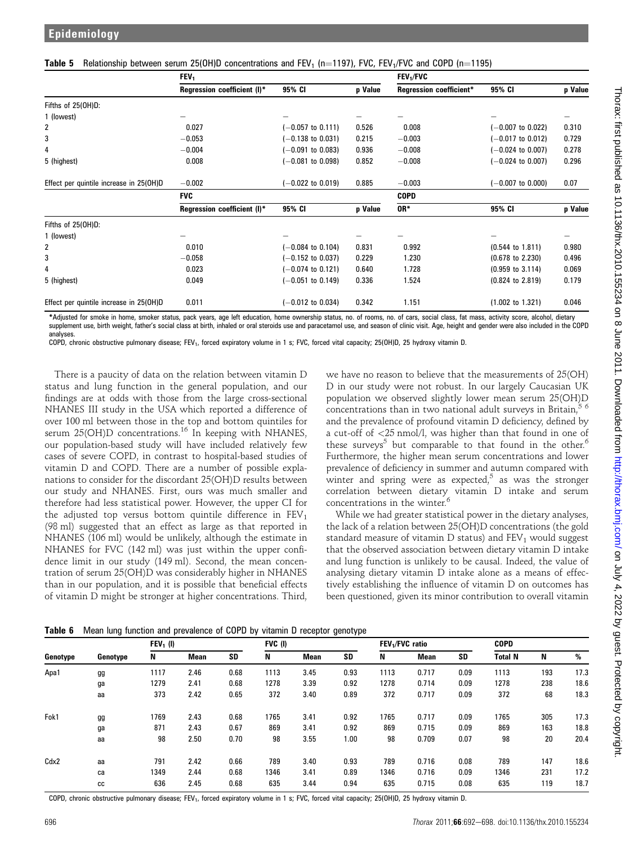|                                         | FEV <sub>1</sub>            |                              | FEV <sub>1</sub> /FVC |                         |                             |         |  |  |
|-----------------------------------------|-----------------------------|------------------------------|-----------------------|-------------------------|-----------------------------|---------|--|--|
|                                         | Regression coefficient (I)* | 95% CI                       | p Value               | Regression coefficient* | 95% CI                      | p Value |  |  |
| Fifths of 25(OH)D:                      |                             |                              |                       |                         |                             |         |  |  |
| 1 (lowest)                              |                             |                              |                       |                         |                             |         |  |  |
| 2                                       | 0.027                       | $(-0.057$ to 0.111)          | 0.526                 | 0.008                   | $-0.007$ to $0.022$ )       | 0.310   |  |  |
| 3                                       | $-0.053$                    | $(-0.138$ to $0.031)$        | 0.215                 | $-0.003$                | $-0.017$ to $0.012$ )       | 0.729   |  |  |
| 4                                       | $-0.004$                    | $(-0.091$ to $0.083)$        | 0.936                 | $-0.008$                | $-0.024$ to $0.007$ )       | 0.278   |  |  |
| 5 (highest)                             | 0.008                       | $(-0.081$ to $0.098)$        | 0.852                 | $-0.008$                | $-0.024$ to $0.007$ )       | 0.296   |  |  |
| Effect per quintile increase in 25(OH)D | $-0.002$                    | $(-0.022$ to $0.019)$        | 0.885                 | $-0.003$                | $-0.007$ to $0.000$ )       | 0.07    |  |  |
|                                         | <b>FVC</b>                  |                              |                       | <b>COPD</b>             |                             |         |  |  |
|                                         | Regression coefficient (I)* | 95% CI                       | p Value               | OR*                     | 95% CI                      | p Value |  |  |
| Fifths of 25(OH)D:                      |                             |                              |                       |                         |                             |         |  |  |
| 1 (lowest)                              |                             |                              |                       |                         |                             |         |  |  |
| 2                                       | 0.010                       | $(-0.084 \text{ to } 0.104)$ | 0.831                 | 0.992                   | $(0.544 \text{ to } 1.811)$ | 0.980   |  |  |
| 3                                       | $-0.058$                    | $(-0.152$ to $0.037)$        | 0.229                 | 1.230                   | $(0.678 \text{ to } 2.230)$ | 0.496   |  |  |
| 4                                       | 0.023                       | $(-0.074 \text{ to } 0.121)$ | 0.640                 | 1.728                   | $(0.959$ to $3.114)$        | 0.069   |  |  |
| 5 (highest)                             | 0.049                       | $(-0.051$ to $0.149)$        | 0.336                 | 1.524                   | $(0.824 \text{ to } 2.819)$ | 0.179   |  |  |
| Effect per quintile increase in 25(OH)D | 0.011                       | $(-0.012$ to 0.034)          | 0.342                 | 1.151                   | $(1.002 \text{ to } 1.321)$ | 0.046   |  |  |
|                                         |                             |                              |                       |                         |                             |         |  |  |

| Table 5 Relationship between serum 25(OH)D concentrations and FEV <sub>1</sub> (n=1197), FVC, FEV <sub>1</sub> /FVC and COPD (n=1195) |  |  |  |  |
|---------------------------------------------------------------------------------------------------------------------------------------|--|--|--|--|
|                                                                                                                                       |  |  |  |  |

\*Adjusted for smoke in home, smoker status, pack years, age left education, home ownership status, no. of rooms, no. of cars, social class, fat mass, activity score, alcohol, dietary supplement use, birth weight, father's social class at birth, inhaled or oral steroids use and paracetamol use, and season of clinic visit. Age, height and gender were also included in the COPD analyses.

COPD, chronic obstructive pulmonary disease; FEV<sub>1</sub>, forced expiratory volume in 1 s; FVC, forced vital capacity; 25(OH)D, 25 hydroxy vitamin D.

There is a paucity of data on the relation between vitamin D status and lung function in the general population, and our findings are at odds with those from the large cross-sectional NHANES III study in the USA which reported a difference of over 100 ml between those in the top and bottom quintiles for serum 25(OH)D concentrations.<sup>16</sup> In keeping with NHANES, our population-based study will have included relatively few cases of severe COPD, in contrast to hospital-based studies of vitamin D and COPD. There are a number of possible explanations to consider for the discordant 25(OH)D results between our study and NHANES. First, ours was much smaller and therefore had less statistical power. However, the upper CI for the adjusted top versus bottom quintile difference in  $FEV<sub>1</sub>$ (98 ml) suggested that an effect as large as that reported in NHANES (106 ml) would be unlikely, although the estimate in NHANES for FVC (142 ml) was just within the upper confidence limit in our study (149 ml). Second, the mean concentration of serum 25(OH)D was considerably higher in NHANES than in our population, and it is possible that beneficial effects of vitamin D might be stronger at higher concentrations. Third,

we have no reason to believe that the measurements of 25(OH) D in our study were not robust. In our largely Caucasian UK population we observed slightly lower mean serum 25(OH)D concentrations than in two national adult surveys in Britain, $5\,6$ and the prevalence of profound vitamin D deficiency, defined by a cut-off of <25 nmol/l, was higher than that found in one of these surveys<sup>5</sup> but comparable to that found in the other.<sup>6</sup> Furthermore, the higher mean serum concentrations and lower prevalence of deficiency in summer and autumn compared with winter and spring were as expected, $5$  as was the stronger correlation between dietary vitamin D intake and serum concentrations in the winter.<sup>6</sup>

While we had greater statistical power in the dietary analyses, the lack of a relation between 25(OH)D concentrations (the gold standard measure of vitamin  $D$  status) and  $FEV<sub>1</sub>$  would suggest that the observed association between dietary vitamin D intake and lung function is unlikely to be causal. Indeed, the value of analysing dietary vitamin D intake alone as a means of effectively establishing the influence of vitamin D on outcomes has been questioned, given its minor contribution to overall vitamin

|  |  |  | Table 6 Mean lung function and prevalence of COPD by vitamin D receptor genotype |
|--|--|--|----------------------------------------------------------------------------------|

|          |          | $FEV1$ (I) |             |           | FVC (I) |             |           | FEV <sub>1</sub> /FVC ratio |             |      | <b>COPD</b>    |     |      |
|----------|----------|------------|-------------|-----------|---------|-------------|-----------|-----------------------------|-------------|------|----------------|-----|------|
| Genotype | Genotype | N          | <b>Mean</b> | <b>SD</b> | N       | <b>Mean</b> | <b>SD</b> | N                           | <b>Mean</b> | SD   | <b>Total N</b> | N   | %    |
| Apa1     | gg       | 1117       | 2.46        | 0.68      | 1113    | 3.45        | 0.93      | 1113                        | 0.717       | 0.09 | 1113           | 193 | 17.3 |
|          | ga       | 1279       | 2.41        | 0.68      | 1278    | 3.39        | 0.92      | 1278                        | 0.714       | 0.09 | 1278           | 238 | 18.6 |
|          | aa       | 373        | 2.42        | 0.65      | 372     | 3.40        | 0.89      | 372                         | 0.717       | 0.09 | 372            | 68  | 18.3 |
| Fok1     | gg       | 1769       | 2.43        | 0.68      | 1765    | 3.41        | 0.92      | 1765                        | 0.717       | 0.09 | 1765           | 305 | 17.3 |
|          | ga       | 871        | 2.43        | 0.67      | 869     | 3.41        | 0.92      | 869                         | 0.715       | 0.09 | 869            | 163 | 18.8 |
|          | aa       | 98         | 2.50        | 0.70      | 98      | 3.55        | 1.00      | 98                          | 0.709       | 0.07 | 98             | 20  | 20.4 |
| Cdx2     | aa       | 791        | 2.42        | 0.66      | 789     | 3.40        | 0.93      | 789                         | 0.716       | 0.08 | 789            | 147 | 18.6 |
|          | ca       | 1349       | 2.44        | 0.68      | 1346    | 3.41        | 0.89      | 1346                        | 0.716       | 0.09 | 1346           | 231 | 17.2 |
|          | СC       | 636        | 2.45        | 0.68      | 635     | 3.44        | 0.94      | 635                         | 0.715       | 0.08 | 635            | 119 | 18.7 |

COPD, chronic obstructive pulmonary disease; FEV<sub>1</sub>, forced expiratory volume in 1 s; FVC, forced vital capacity; 25(OH)D, 25 hydroxy vitamin D.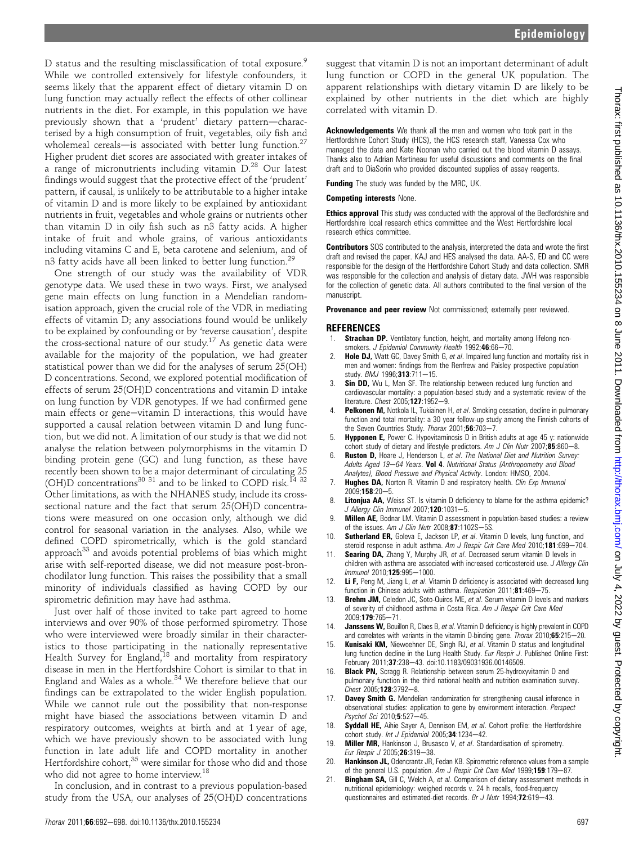D status and the resulting misclassification of total exposure.<sup>9</sup> While we controlled extensively for lifestyle confounders, it seems likely that the apparent effect of dietary vitamin D on lung function may actually reflect the effects of other collinear nutrients in the diet. For example, in this population we have previously shown that a 'prudent' dietary pattern-characterised by a high consumption of fruit, vegetables, oily fish and wholemeal cereals-is associated with better lung function.<sup>27</sup> Higher prudent diet scores are associated with greater intakes of a range of micronutrients including vitamin D.<sup>28</sup> Our latest findings would suggest that the protective effect of the 'prudent' pattern, if causal, is unlikely to be attributable to a higher intake of vitamin D and is more likely to be explained by antioxidant nutrients in fruit, vegetables and whole grains or nutrients other than vitamin D in oily fish such as n3 fatty acids. A higher intake of fruit and whole grains, of various antioxidants including vitamins C and E, beta carotene and selenium, and of n3 fatty acids have all been linked to better lung function.<sup>29</sup>

One strength of our study was the availability of VDR genotype data. We used these in two ways. First, we analysed gene main effects on lung function in a Mendelian randomisation approach, given the crucial role of the VDR in mediating effects of vitamin D; any associations found would be unlikely to be explained by confounding or by 'reverse causation', despite the cross-sectional nature of our study.<sup>17</sup> As genetic data were available for the majority of the population, we had greater statistical power than we did for the analyses of serum 25(OH) D concentrations. Second, we explored potential modification of effects of serum 25(OH)D concentrations and vitamin D intake on lung function by VDR genotypes. If we had confirmed gene main effects or gene-vitamin  $D$  interactions, this would have supported a causal relation between vitamin D and lung function, but we did not. A limitation of our study is that we did not analyse the relation between polymorphisms in the vitamin D binding protein gene (GC) and lung function, as these have recently been shown to be a major determinant of circulating 25 (OH)D concentrations<sup>30 31</sup> and to be linked to COPD risk.<sup>14 32</sup> Other limitations, as with the NHANES study, include its crosssectional nature and the fact that serum 25(OH)D concentrations were measured on one occasion only, although we did control for seasonal variation in the analyses. Also, while we defined COPD spirometrically, which is the gold standard approach<sup>33</sup> and avoids potential problems of bias which might arise with self-reported disease, we did not measure post-bronchodilator lung function. This raises the possibility that a small minority of individuals classified as having COPD by our spirometric definition may have had asthma.

Just over half of those invited to take part agreed to home interviews and over 90% of those performed spirometry. Those who were interviewed were broadly similar in their characteristics to those participating in the nationally representative Health Survey for England,<sup>18</sup> and mortality from respiratory disease in men in the Hertfordshire Cohort is similar to that in England and Wales as a whole.<sup>34</sup> We therefore believe that our findings can be extrapolated to the wider English population. While we cannot rule out the possibility that non-response might have biased the associations between vitamin D and respiratory outcomes, weights at birth and at 1 year of age, which we have previously shown to be associated with lung function in late adult life and COPD mortality in another Hertfordshire cohort, $35$  were similar for those who did and those who did not agree to home interview.<sup>18</sup>

In conclusion, and in contrast to a previous population-based study from the USA, our analyses of 25(OH)D concentrations

suggest that vitamin D is not an important determinant of adult lung function or COPD in the general UK population. The apparent relationships with dietary vitamin D are likely to be explained by other nutrients in the diet which are highly correlated with vitamin D.

Acknowledgements We thank all the men and women who took part in the Hertfordshire Cohort Study (HCS), the HCS research staff, Vanessa Cox who managed the data and Kate Noonan who carried out the blood vitamin D assays. Thanks also to Adrian Martineau for useful discussions and comments on the final draft and to DiaSorin who provided discounted supplies of assay reagents.

**Funding** The study was funded by the MRC, UK.

#### Competing interests None.

**Ethics approval** This study was conducted with the approval of the Bedfordshire and Hertfordshire local research ethics committee and the West Hertfordshire local research ethics committee.

**Contributors** SOS contributed to the analysis, interpreted the data and wrote the first draft and revised the paper. KAJ and HES analysed the data. AA-S, ED and CC were responsible for the design of the Hertfordshire Cohort Study and data collection. SMR was responsible for the collection and analysis of dietary data. JWH was responsible for the collection of genetic data. All authors contributed to the final version of the manuscript.

Provenance and peer review Not commissioned; externally peer reviewed.

#### **REFERENCES**

- 1. **Strachan DP.** Ventilatory function, height, and mortality among lifelong nonsmokers. J Epidemiol Community Health 1992;46:66-70.
- 2. Hole DJ, Watt GC, Davey Smith G, et al. Impaired lung function and mortality risk in men and women: findings from the Renfrew and Paisley prospective population study. BMJ 1996;313:711-15.
- 3. **Sin DD,** Wu L, Man SF. The relationship between reduced lung function and cardiovascular mortality: a population-based study and a systematic review of the literature. Chest 2005;127:1952-9.
- Pelkonen M, Notkola IL, Tukiainen H, et al. Smoking cessation, decline in pulmonary function and total mortality: a 30 year follow-up study among the Finnish cohorts of the Seven Countries Study. Thorax 2001;56:703-7.
- 5. **Hypponen E,** Power C. Hypovitaminosis D in British adults at age 45 y: nationwide cohort study of dietary and lifestyle predictors. Am J Clin Nutr  $2007;85:860-8$ .
- Ruston D, Hoare J, Henderson L, et al. The National Diet and Nutrition Survey: Adults Aged 19-64 Years. Vol 4. Nutritional Status (Anthropometry and Blood Analytes), Blood Pressure and Physical Activity. London: HMSO, 2004.
- 7. Hughes DA, Norton R. Vitamin D and respiratory health. Clin Exp Immunol 2009:158:20-5.
- 8. Litonjua AA, Weiss ST. Is vitamin D deficiency to blame for the asthma epidemic? J Allergy Clin Immunol 2007;120:1031-5.
- 9. **Millen AE**, Bodnar LM. Vitamin D assessment in population-based studies: a review of the issues. Am J Clin Nutr  $2008$ ; 87:1102S-5S.
- 10. **Sutherland ER,** Goleva E, Jackson LP, et al. Vitamin D levels, lung function, and steroid response in adult asthma. Am J Respir Crit Care Med 2010;181:699-704.
- 11. **Searing DA,** Zhang Y, Murphy JR, et al. Decreased serum vitamin D levels in children with asthma are associated with increased corticosteroid use. J Allergy Clin Immunol 2010:125:995-1000.
- 12. Li F, Peng M, Jiang L, et al. Vitamin D deficiency is associated with decreased lung function in Chinese adults with asthma. Respiration 2011;81:469-75.
- 13. Brehm JM, Celedon JC, Soto-Quiros ME, et al. Serum vitamin D levels and markers of severity of childhood asthma in Costa Rica. Am J Respir Crit Care Med 2009;179:765-71
- 14. Janssens W, Bouillon R, Claes B, et al. Vitamin D deficiency is highly prevalent in COPD and correlates with variants in the vitamin D-binding gene. Thorax  $2010;65:215-20$ .
- 15. **Kunisaki KM,** Niewoehner DE, Singh RJ, et al. Vitamin D status and longitudinal lung function decline in the Lung Health Study. Eur Respir J. Published Online First: February 2011;37:238-43. doi:10.1183/09031936.00146509.
- 16. Black PN, Scragg R. Relationship between serum 25-hydroxyvitamin D and pulmonary function in the third national health and nutrition examination survey.  $Check 2005; 128:3792-8.$
- 17. **Davey Smith G.** Mendelian randomization for strengthening causal inference in observational studies: application to gene by environment interaction. Perspect Psychol Sci 2010;5:527-45.
- 18. Syddall HE, Aihie Sayer A, Dennison EM, et al. Cohort profile: the Hertfordshire cohort study. Int J Epidemiol 2005; 34:1234-42.
- 19. **Miller MR,** Hankinson J, Brusasco V, et al. Standardisation of spirometry. Eur Respir J 2005:26:319-38.
- 20. Hankinson JL, Odencrantz JR, Fedan KB. Spirometric reference values from a sample of the general U.S. population. Am J Respir Crit Care Med 1999;159:179-87.
- 21. Bingham SA, Gill C, Welch A, et al. Comparison of dietary assessment methods in nutritional epidemiology: weighed records v. 24 h recalls, food-frequency questionnaires and estimated-diet records. Br J Nutr  $1994;72:619-43$ .